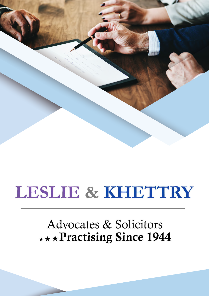

# Advocates & Solicitors \*\*\* Practising Since 1944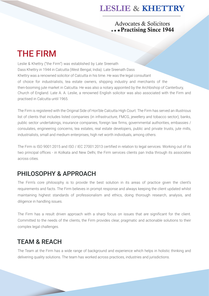#### Advocates & Solicitors \*\*\* Practising Since 1944

# THE FIRM

Leslie & Khettry ("the Firm") was established by Late Sreenath Dass Khettry in 1944 in Calcutta (West Bengal, India). Late Sreenath Dass Khettry was a renowned solicitor of Calcutta in his time. He was the legal consultant of choice for industrialists, tea estate owners, shipping industry and merchants of the then-booming jute market in Calcutta. He was also a notary appointed by the Archbishop of Canterbury, Church of England. Late A. A. Leslie, a renowned English solicitor was also associated with the Firm and practised in Calcutta until 1965.

The Firm is registered with the Original Side of Hon'ble Calcutta High Court. The Firm has served an illustrious list of clients that includes listed companies (in infrastructure, FMCG, jewellery and tobacco sector), banks, public sector undertakings, insurance companies, foreign law firms, governmental authorities, embassies / consulates, engineering concerns, tea estates, real estate developers, public and private trusts, jute mills, industrialists, small and medium enterprises, high net worth individuals, among others.

The Firm is ISO 9001:2015 and ISO / IEC 27001:2013 certified in relation to legal services. Working out of its two principal offices - in Kolkata and New Delhi, the Firm services clients pan India through its associates across cities.

## PHILOSOPHY & APPROACH

The Firm's core philosophy is to provide the best solution in its areas of practice given the client's requirements and facts. The Firm believes in prompt response and always keeping the client updated whilst maintaining highest standards of professionalism and ethics, doing thorough research, analysis, and diligence in handling issues.

The Firm has a result driven approach with a sharp focus on issues that are significant for the client. Committed to the needs of the clients, the Firm provides clear, pragmatic and actionable solutions to their complex legal challenges.

## TEAM & REACH

The Team at the Firm has a wide range of background and experience which helps in holistic thinking and delivering quality solutions. The team has worked across practices, industries and jurisdictions.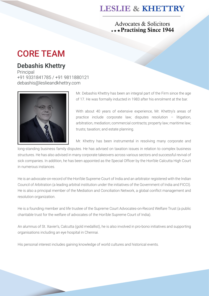#### Advocates & Solicitors \*\*\* Practising Since 1944

# CORE TEAM

### Debashis Khettry

**Principal** +91 9331841785 / +91 9811880121 debashis@leslieandkhettry.com



Mr. Debashis Khettry has been an integral part of the Firm since the age of 17. He was formally inducted in 1983 after his enrolment at the bar.

With about 40 years of extensive experience, Mr. Khettry's areas of practice include corporate law; disputes resolution – litigation, arbitration, mediation; commercial contracts; property law; maritime law; trusts; taxation; and estate planning.

Mr. Khettry has been instrumental in resolving many corporate and

long-standing business family disputes. He has advised on taxation issues in relation to complex business structures. He has also advised in many corporate takeovers across various sectors and successful revival of sick companies. In addition, he has been appointed as the Special Officer by the Hon'ble Calcutta High Court in numerous instances.

He is an advocate-on-record of the Hon'ble Supreme Court of India and an arbitrator registered with the Indian Council of Arbitration (a leading arbitral institution under the initiatives of the Government of India and FICCI). He is also a principal member of the Mediation and Conciliation Network, a global conflict management and resolution organization.

He is a founding member and life trustee of the Supreme Court Advocates-on-Record Welfare Trust (a public charitable trust for the welfare of advocates of the Hon'ble Supreme Court of India).

An alumnus of St. Xavier's, Calcutta (gold medallist), he is also involved in pro-bono initiatives and supporting organisations including an eye hospital in Chennai.

His personal interest includes gaining knowledge of world cultures and historical events.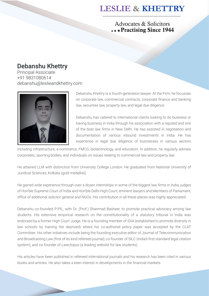Advocates & Solicitors \*\*\*Practising Since 1944

### Debanshu Khettry

Principal Associate +91 9831080614 debanshu@leslieandkhettry.com



Debanshu Khettry is a fourth-generation lawyer. At the Firm, he focusses on corporate law, commercial contracts, corporate finance and banking law, securities law, property law, and legal due diligence.

Debanshu has catered to international clients looking to do business or having business in India through his association with a reputed and one of the best law firms in New Delhi. He has assisted in negotiation and documentation of various inbound investments in India. He has experience in legal due diligence of businesses in various sectors

including infrastructure, e-commerce, FMCG, biotechnology, and education. In addition, he regularly advises corporates, sporting bodies, and individuals on issues relating to commercial law and property law.

He attained LLM with distinction from University College London. He graduated from National University of Juridical Sciences, Kolkata (gold medallist).

He gained wide experience through over a dozen internships in some of the biggest law firms in India; judges of Hon'ble Supreme Court of India and Hon'ble Delhi High Court; eminent lawyers and Members of Parliament; office of additional solicitor general and NGOs. His contribution in all these places was highly appreciated.

Debanshu co-founded P-PIL, with Dr. (Prof.) Shamnad Basheer, to promote practical advocacy among law students. His extensive empirical research on the constitutionality of a statutory tribunal in India was endorsed by a former High Court Judge. He is a founding member of IDIA (established to promote diversity in law schools by training the deprived) where his co-authored policy paper was accepted by the CLAT Committee. His other initiatives include being the founding executive editor of Journal of Telecommunication and Broadcasting Law (first of its kind refereed journal); co-founder of SILC (India's first standard legal citation system); and co-founder of Lawctopus (a leading website for law students).

His articles have been published in refereed international journals and his research has been cited in various books and articles. He also takes a keen interest in developments in the financial markets.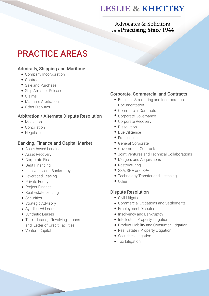#### Advocates & Solicitors \*\*\* Practising Since 1944

# PRACTICE AREAS

#### Admiralty, Shipping and Maritime

- Company Incorporation
- Contracts
- Sale and Purchase
- Ship Arrest or Release
- Claims
- Maritime Arbitration •
- Other Disputes

#### Arbitration / Alternate Dispute Resolution

- Mediation
- Conciliation
- Negotiation

#### Banking, Finance and Capital Market

- Asset based Lending
- Asset Recovery
- Corporate Finance
- Debt Financing
- Insolvency and Bankruptcy
- Leveraged Leasing
- Private Equity
- Project Finance
- Real Estate Lending
- Securities
- Strategic Advisory
- Syndicated Loans
- Synthetic Leases
- Term Loans, Revolving Loans and Letter of Credit Facilities
- Venture Capital

#### Corporate, Commercial and Contracts

- Business Structuring and Incorporation Documentation
- Commercial Contracts •
- Corporate Governance •
- Corporate Recovery •
- Dissolution
- Due Diligence
- Franchising
- General Corporate •
- Government Contracts •
- Joint Ventures and Technical Collaborations •
- Mergers and Acquisitions •
- Restructuring
- SSA, SHA and SPA
- Technology Transfer and Licensing •
- Other

#### Dispute Resolution

- Civil Litigation
- Commercial Litigations and Settlements •
- Employment Disputes •
- Insolvency and Bankruptcy
- Intellectual Property Litigation
- Product Liability and Consumer Litigation
- Real Estate / Property Litigation
- Securities Litigation
- Tax Litigation